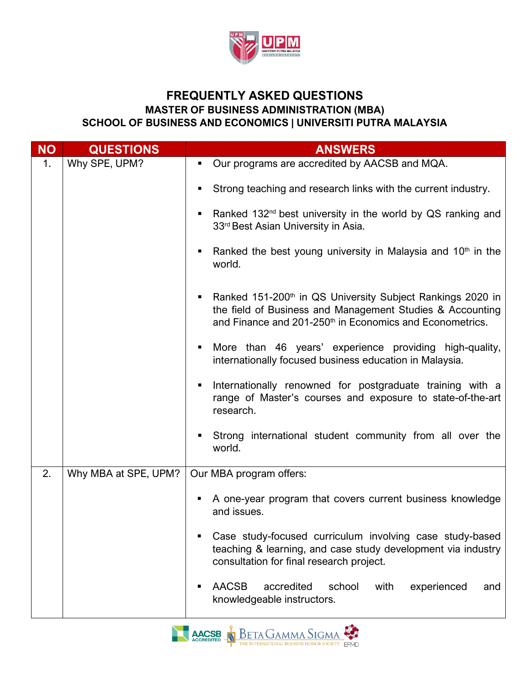

## **FREQUENTLY ASKED QUESTIONS MASTER OF BUSINESS ADMINISTRATION (MBA) SCHOOL OF BUSINESS AND ECONOMICS | UNIVERSITI PUTRA MALAYSIA**

| <b>NO</b> | <b>QUESTIONS</b>     | <b>ANSWERS</b>                                                                                                                                                                                                   |
|-----------|----------------------|------------------------------------------------------------------------------------------------------------------------------------------------------------------------------------------------------------------|
| 1.        | Why SPE, UPM?        | Our programs are accredited by AACSB and MQA.<br>ш                                                                                                                                                               |
|           |                      | Strong teaching and research links with the current industry.<br>٠                                                                                                                                               |
|           |                      | Ranked 132 <sup>nd</sup> best university in the world by QS ranking and<br>ш<br>33rd Best Asian University in Asia.                                                                                              |
|           |                      | Ranked the best young university in Malaysia and 10 <sup>th</sup> in the<br>п<br>world.                                                                                                                          |
|           |                      | Ranked 151-200 <sup>th</sup> in QS University Subject Rankings 2020 in<br>п<br>the field of Business and Management Studies & Accounting<br>and Finance and 201-250 <sup>th</sup> in Economics and Econometrics. |
|           |                      | More than 46 years' experience providing high-quality,<br>п<br>internationally focused business education in Malaysia.                                                                                           |
|           |                      | Internationally renowned for postgraduate training with a<br>ш<br>range of Master's courses and exposure to state-of-the-art<br>research.                                                                        |
|           |                      | Strong international student community from all over the<br>п<br>world.                                                                                                                                          |
| 2.        | Why MBA at SPE, UPM? | Our MBA program offers:                                                                                                                                                                                          |
|           |                      | A one-year program that covers current business knowledge<br>and issues.                                                                                                                                         |
|           |                      | Case study-focused curriculum involving case study-based<br>teaching & learning, and case study development via industry<br>consultation for final research project.                                             |
|           |                      | <b>AACSB</b><br>accredited<br>school<br>experienced<br>with<br>and<br>п<br>knowledgeable instructors.                                                                                                            |

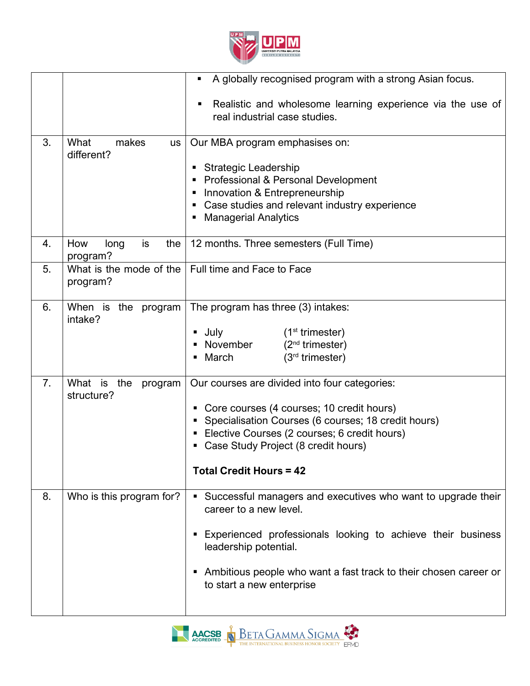

|    |                                          | A globally recognised program with a strong Asian focus.<br>п                                                                                                                                                                                                                     |
|----|------------------------------------------|-----------------------------------------------------------------------------------------------------------------------------------------------------------------------------------------------------------------------------------------------------------------------------------|
|    |                                          | Realistic and wholesome learning experience via the use of<br>п<br>real industrial case studies.                                                                                                                                                                                  |
| 3. | What<br>makes<br><b>us</b><br>different? | Our MBA program emphasises on:<br><b>Strategic Leadership</b><br>• Professional & Personal Development<br>• Innovation & Entrepreneurship<br>• Case studies and relevant industry experience<br><b>Managerial Analytics</b>                                                       |
| 4. | is<br>the<br>How<br>long<br>program?     | 12 months. Three semesters (Full Time)                                                                                                                                                                                                                                            |
| 5. | What is the mode of the<br>program?      | Full time and Face to Face                                                                                                                                                                                                                                                        |
| 6. | When is the program<br>intake?           | The program has three (3) intakes:<br>$(1st$ trimester)<br>July<br>■ November<br>$(2nd$ trimester)<br>$(3rd$ trimester)<br>March                                                                                                                                                  |
| 7. | What is the<br>program<br>structure?     | Our courses are divided into four categories:<br>• Core courses (4 courses; 10 credit hours)<br>Specialisation Courses (6 courses; 18 credit hours)<br>• Elective Courses (2 courses; 6 credit hours)<br>• Case Study Project (8 credit hours)<br><b>Total Credit Hours = 42</b>  |
| 8. | Who is this program for?                 | • Successful managers and executives who want to upgrade their<br>career to a new level.<br>Experienced professionals looking to achieve their business<br>leadership potential.<br>Ambitious people who want a fast track to their chosen career or<br>to start a new enterprise |

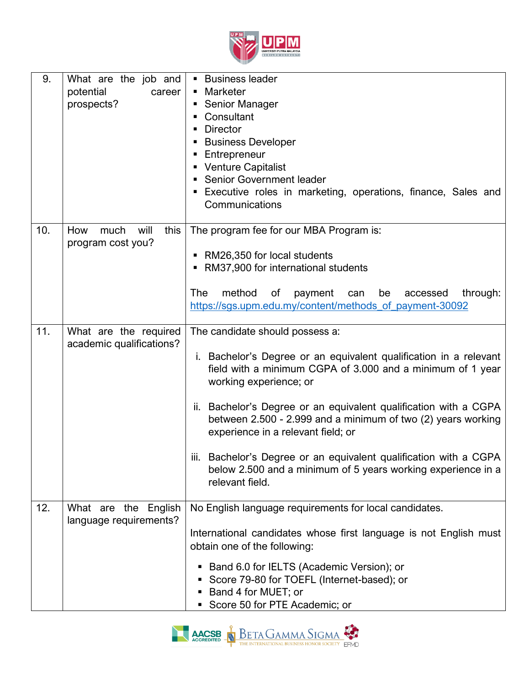

| 9.  | What are the job and<br>potential<br>career<br>prospects? | <b>Business leader</b><br>• Marketer<br><b>Senior Manager</b><br>ш<br>Consultant<br><b>Director</b><br><b>Business Developer</b><br>Entrepreneur<br>• Venture Capitalist<br>• Senior Government leader<br><b>Executive roles in marketing, operations, finance, Sales and</b><br>Communications                                                                                                                                                                                                                                  |
|-----|-----------------------------------------------------------|----------------------------------------------------------------------------------------------------------------------------------------------------------------------------------------------------------------------------------------------------------------------------------------------------------------------------------------------------------------------------------------------------------------------------------------------------------------------------------------------------------------------------------|
| 10. | this<br>How<br>will<br>much<br>program cost you?          | The program fee for our MBA Program is:<br>• RM26,350 for local students<br>RM37,900 for international students<br><b>The</b><br>method<br>be<br>of<br>payment can<br>through:<br>accessed<br>https://sgs.upm.edu.my/content/methods_of_payment-30092                                                                                                                                                                                                                                                                            |
| 11. | What are the required<br>academic qualifications?         | The candidate should possess a:<br>i. Bachelor's Degree or an equivalent qualification in a relevant<br>field with a minimum CGPA of 3.000 and a minimum of 1 year<br>working experience; or<br>Bachelor's Degree or an equivalent qualification with a CGPA<br>н.<br>between 2.500 - 2.999 and a minimum of two (2) years working<br>experience in a relevant field; or<br>iii. Bachelor's Degree or an equivalent qualification with a CGPA<br>below 2.500 and a minimum of 5 years working experience in a<br>relevant field. |
| 12. | What are the English<br>language requirements?            | No English language requirements for local candidates.<br>International candidates whose first language is not English must<br>obtain one of the following:<br>Band 6.0 for IELTS (Academic Version); or<br>п<br>Score 79-80 for TOEFL (Internet-based); or<br>п<br>Band 4 for MUET; or<br>Score 50 for PTE Academic; or                                                                                                                                                                                                         |